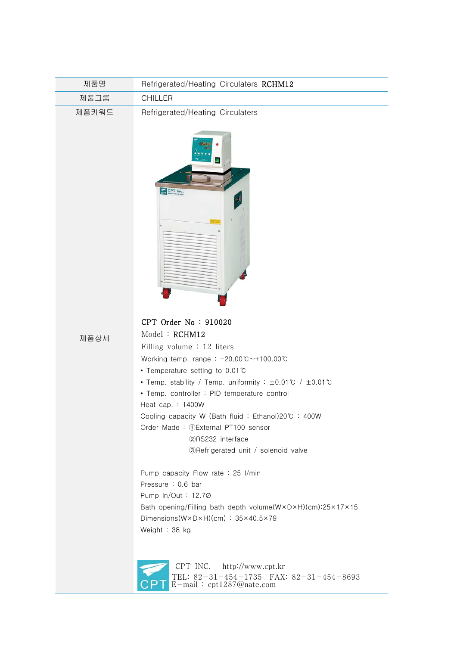| 제품명   | Refrigerated/Heating Circulaters RCHM12 |
|-------|-----------------------------------------|
| 제품그룹  | CHILLER.                                |
| 제품키워드 | Refrigerated/Heating Circulaters        |



제품상세

## CPT Order No : 910020

 Model : RCHM12 Filling volume : 12 liters

Working temp. range : -20.00℃~+100.00℃

- Temperature setting to 0.01℃
- Temp. stability / Temp. uniformity : ±0.01℃ / ±0.01℃
- Temp. controller : PID temperature control

Heat cap. : 1400W

Cooling capacity W (Bath fluid : Ethanol)20℃ : 400W

Order Made : ①External PT100 sensor

②RS232 interface

③Refrigerated unit / solenoid valve

 Pump capacity Flow rate : 25 I/min Pressure : 0.6 bar Pump ln/Out : 12.7Ø Bath opening/Filling bath depth volume(W×D×H)(cm):25×17×15 Dimensions(W×D×H)(cm) : 35×40.5×79 Weight : 38 kg



 CPT INC. http://www.cpt.kr TEL: 82-31-454-1735 FAX: 82-31-454-8693 E-mail : cpt1287@nate.com